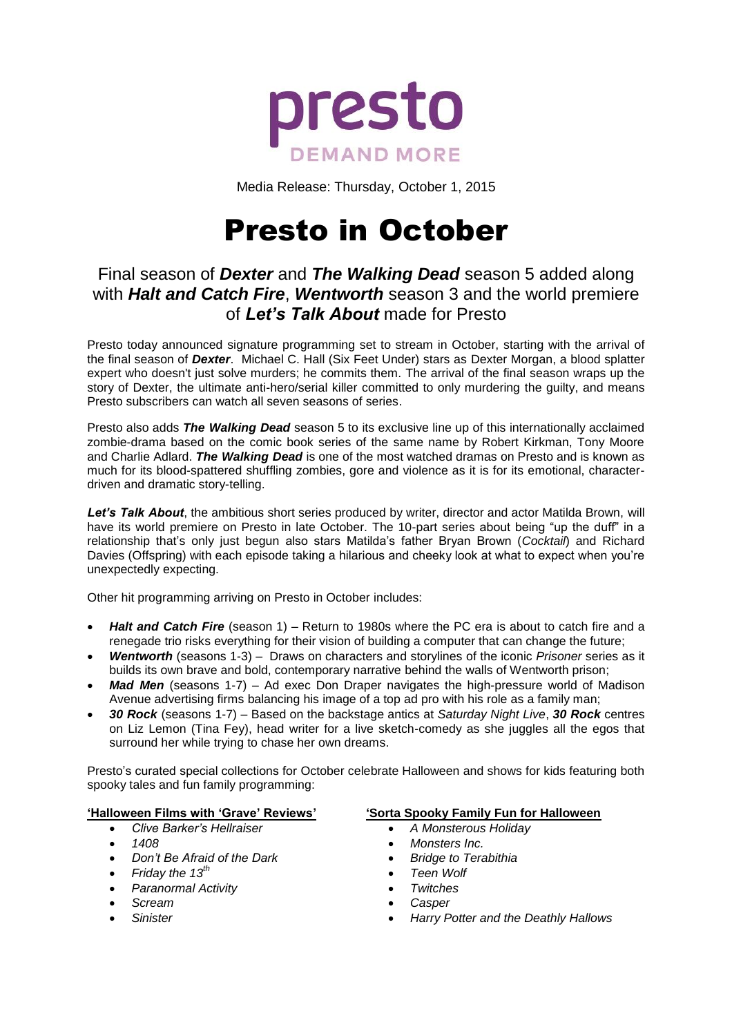

Media Release: Thursday, October 1, 2015

# Presto in October

## Final season of *Dexter* and *The Walking Dead* season 5 added along with *Halt and Catch Fire*, *Wentworth* season 3 and the world premiere of *Let's Talk About* made for Presto

Presto today announced signature programming set to stream in October, starting with the arrival of the final season of *Dexter*. Michael C. Hall (Six Feet Under) stars as Dexter Morgan, a blood splatter expert who doesn't just solve murders; he commits them. The arrival of the final season wraps up the story of Dexter, the ultimate anti-hero/serial killer committed to only murdering the guilty, and means Presto subscribers can watch all seven seasons of series.

Presto also adds *The Walking Dead* season 5 to its exclusive line up of this internationally acclaimed zombie-drama based on the comic book series of the same name by Robert Kirkman, Tony Moore and Charlie Adlard. *The Walking Dead* is one of the most watched dramas on Presto and is known as much for its blood-spattered shuffling zombies, gore and violence as it is for its emotional, characterdriven and dramatic story-telling.

Let's Talk About, the ambitious short series produced by writer, director and actor Matilda Brown, will have its world premiere on Presto in late October. The 10-part series about being "up the duff" in a relationship that's only just begun also stars Matilda's father Bryan Brown (*Cocktail*) and Richard Davies (Offspring) with each episode taking a hilarious and cheeky look at what to expect when you're unexpectedly expecting.

Other hit programming arriving on Presto in October includes:

- *Halt and Catch Fire* (season 1) Return to 1980s where the PC era is about to catch fire and a renegade trio risks everything for their vision of building a computer that can change the future;
- *Wentworth* (seasons 1-3) Draws on characters and storylines of the iconic *Prisoner* series as it builds its own brave and bold, contemporary narrative behind the walls of Wentworth prison;
- *Mad Men* (seasons 1-7) Ad exec Don Draper navigates the high-pressure world of Madison Avenue advertising firms balancing his image of a top ad pro with his role as a family man;
- *30 Rock* (seasons 1-7) Based on the backstage antics at *Saturday Night Live*, *30 Rock* centres on Liz Lemon (Tina Fey), head writer for a live sketch-comedy as she juggles all the egos that surround her while trying to chase her own dreams.

Presto's curated special collections for October celebrate Halloween and shows for kids featuring both spooky tales and fun family programming:

## **'Halloween Films with 'Grave' Reviews'**

- *Clive Barker's Hellraiser*
- *1408*
- *Don't Be Afraid of the Dark*
- *Friday the 13th*
- *Paranormal Activity*
- *Scream*
- *Sinister*

## **'Sorta Spooky Family Fun for Halloween**

- *A Monsterous Holiday*
- *Monsters Inc.*
- *Bridge to Terabithia*
- *Teen Wolf*
- *Twitches*
- *Casper*
- *Harry Potter and the Deathly Hallows*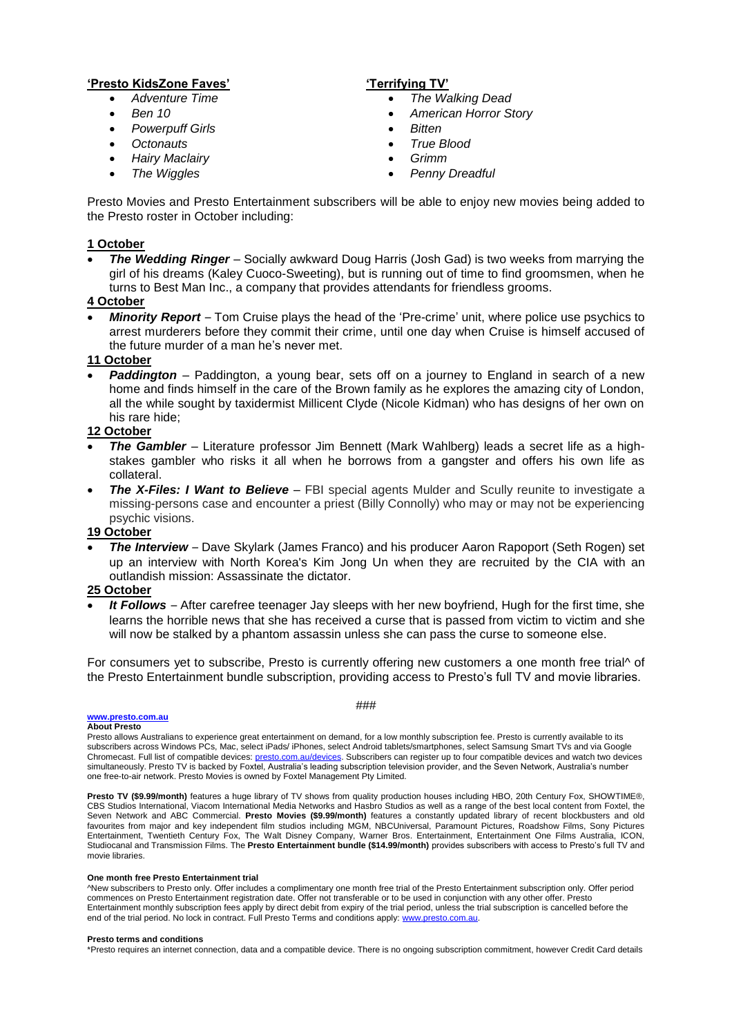#### **'Presto KidsZone Faves'**

- *Adventure Time*
- *Ben 10*
- *Powerpuff Girls*
- *Octonauts*
- *Hairy Maclairy*
- *The Wiggles*

### **'Terrifying TV'**

- *The Walking Dead*
- *American Horror Story*
- *Bitten*
- *True Blood*
- *Grimm*
- *Penny Dreadful*

Presto Movies and Presto Entertainment subscribers will be able to enjoy new movies being added to the Presto roster in October including:

#### **1 October**

 *The Wedding Ringer* – Socially awkward Doug Harris (Josh Gad) is two weeks from marrying the girl of his dreams (Kaley Cuoco-Sweeting), but is running out of time to find groomsmen, when he turns to Best Man Inc., a company that provides attendants for friendless grooms.

#### **4 October**

 *Minority Report* – Tom Cruise plays the head of the 'Pre-crime' unit, where police use psychics to arrest murderers before they commit their crime, until one day when Cruise is himself accused of the future murder of a man he's never met.

#### **11 October**

**Paddington** – Paddington, a young bear, sets off on a journey to England in search of a new home and finds himself in the care of the Brown family as he explores the amazing city of London, all the while sought by taxidermist Millicent Clyde (Nicole Kidman) who has designs of her own on his rare hide;

#### **12 October**

- **The Gambler** Literature professor Jim Bennett (Mark Wahlberg) leads a secret life as a highstakes gambler who risks it all when he borrows from a gangster and offers his own life as collateral.
- **The X-Files: I Want to Believe** FBI special agents Mulder and Scully reunite to investigate a missing-persons case and encounter a priest (Billy Connolly) who may or may not be experiencing psychic visions.

### **19 October**

 *The Interview* – Dave Skylark (James Franco) and his producer Aaron Rapoport (Seth Rogen) set up an interview with North Korea's Kim Jong Un when they are recruited by the CIA with an outlandish mission: Assassinate the dictator.

#### **25 October**

 *It Follows* – After carefree teenager Jay sleeps with her new boyfriend, Hugh for the first time, she learns the horrible news that she has received a curse that is passed from victim to victim and she will now be stalked by a phantom assassin unless she can pass the curse to someone else.

For consumers yet to subscribe, Presto is currently offering new customers a one month free trial<sup>A</sup> of the Presto Entertainment bundle subscription, providing access to Presto's full TV and movie libraries.

#### **[www.presto.com.au](http://www.presto.com.au/)**

**About Presto**

Presto allows Australians to experience great entertainment on demand, for a low monthly subscription fee. Presto is currently available to its subscribers across Windows PCs, Mac, select iPads/ iPhones, select Android tablets/smartphones, select Samsung Smart TVs and via Google Chromecast. Full list of compatible devices[: presto.com.au/devices.](http://presto.com.au/devices) Subscribers can register up to four compatible devices and watch two devices simultaneously. Presto TV is backed by Foxtel, Australia's leading subscription television provider, and the Seven Network, Australia's number one free-to-air network. Presto Movies is owned by Foxtel Management Pty Limited.

**Presto TV (\$9.99/month)** features a huge library of TV shows from quality production houses including HBO, 20th Century Fox, SHOWTIME®, CBS Studios International, Viacom International Media Networks and Hasbro Studios as well as a range of the best local content from Foxtel, the Seven Network and ABC Commercial. **Presto Movies (\$9.99/month)** features a constantly updated library of recent blockbusters and old favourites from major and key independent film studios including MGM, NBCUniversal, Paramount Pictures, Roadshow Films, Sony Pictures Entertainment, Twentieth Century Fox, The Walt Disney Company, Warner Bros. Entertainment, Entertainment One Films Australia, ICON, Studiocanal and Transmission Films. The **Presto Entertainment bundle (\$14.99/month)** provides subscribers with access to Presto's full TV and movie libraries.

#### **One month free Presto Entertainment trial**

^New subscribers to Presto only. Offer includes a complimentary one month free trial of the Presto Entertainment subscription only. Offer period commences on Presto Entertainment registration date. Offer not transferable or to be used in conjunction with any other offer. Presto Entertainment monthly subscription fees apply by direct debit from expiry of the trial period, unless the trial subscription is cancelled before the end of the trial period. No lock in contract. Full Presto Terms and conditions apply: www.presto.com.a

#### **Presto terms and conditions**

\*Presto requires an internet connection, data and a compatible device. There is no ongoing subscription commitment, however Credit Card details

#### ###